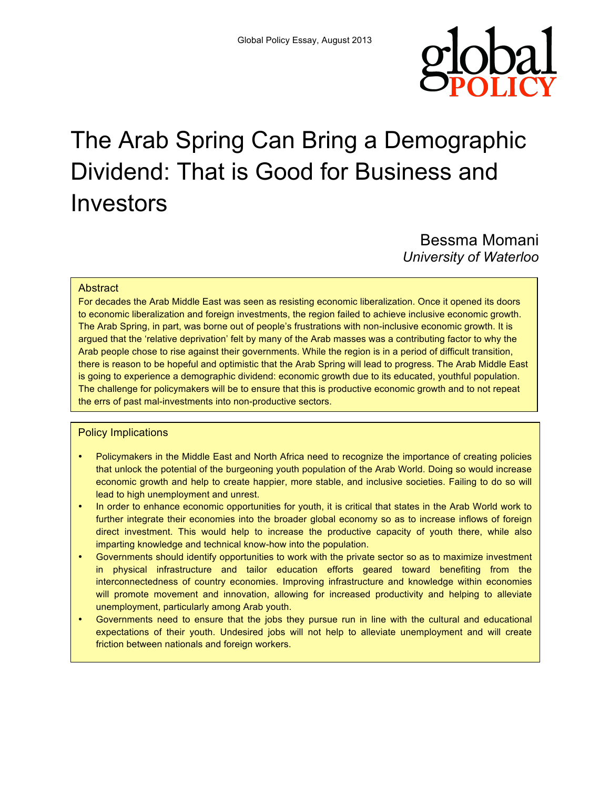

# The Arab Spring Can Bring a Demographic Dividend: That is Good for Business and Investors

Bessma Momani *University of Waterloo*

#### **Abstract**

For decades the Arab Middle East was seen as resisting economic liberalization. Once it opened its doors to economic liberalization and foreign investments, the region failed to achieve inclusive economic growth. The Arab Spring, in part, was borne out of people's frustrations with non-inclusive economic growth. It is argued that the 'relative deprivation' felt by many of the Arab masses was a contributing factor to why the Arab people chose to rise against their governments. While the region is in a period of difficult transition, there is reason to be hopeful and optimistic that the Arab Spring will lead to progress. The Arab Middle East is going to experience a demographic dividend: economic growth due to its educated, youthful population. The challenge for policymakers will be to ensure that this is productive economic growth and to not repeat the errs of past mal-investments into non-productive sectors.

### Policy Implications

- Policymakers in the Middle East and North Africa need to recognize the importance of creating policies that unlock the potential of the burgeoning youth population of the Arab World. Doing so would increase economic growth and help to create happier, more stable, and inclusive societies. Failing to do so will lead to high unemployment and unrest.
- In order to enhance economic opportunities for youth, it is critical that states in the Arab World work to further integrate their economies into the broader global economy so as to increase inflows of foreign direct investment. This would help to increase the productive capacity of youth there, while also imparting knowledge and technical know-how into the population.
- Governments should identify opportunities to work with the private sector so as to maximize investment in physical infrastructure and tailor education efforts geared toward benefiting from the interconnectedness of country economies. Improving infrastructure and knowledge within economies will promote movement and innovation, allowing for increased productivity and helping to alleviate unemployment, particularly among Arab youth.
- Governments need to ensure that the jobs they pursue run in line with the cultural and educational expectations of their youth. Undesired jobs will not help to alleviate unemployment and will create friction between nationals and foreign workers.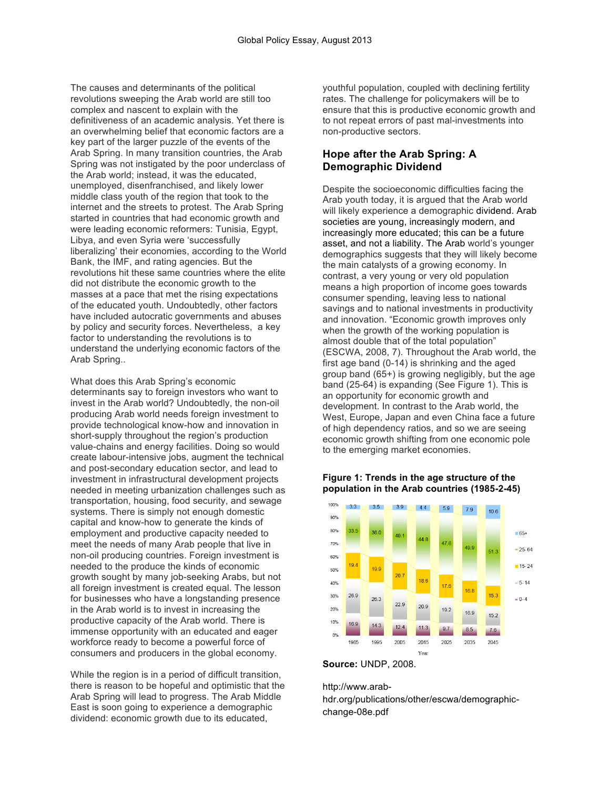The causes and determinants of the political revolutions sweeping the Arab world are still too complex and nascent to explain with the definitiveness of an academic analysis. Yet there is an overwhelming belief that economic factors are a key part of the larger puzzle of the events of the Arab Spring. In many transition countries, the Arab Spring was not instigated by the poor underclass of the Arab world; instead, it was the educated, unemployed, disenfranchised, and likely lower middle class youth of the region that took to the internet and the streets to protest. The Arab Spring started in countries that had economic growth and were leading economic reformers: Tunisia, Egypt, Libya, and even Syria were 'successfully liberalizing' their economies, according to the World Bank, the IMF, and rating agencies. But the revolutions hit these same countries where the elite did not distribute the economic growth to the masses at a pace that met the rising expectations of the educated youth. Undoubtedly, other factors have included autocratic governments and abuses by policy and security forces. Nevertheless, a key factor to understanding the revolutions is to understand the underlying economic factors of the Arab Spring..

What does this Arab Spring's economic determinants say to foreign investors who want to invest in the Arab world? Undoubtedly, the non-oil producing Arab world needs foreign investment to provide technological know-how and innovation in short-supply throughout the region's production value-chains and energy facilities. Doing so would create labour-intensive jobs, augment the technical and post-secondary education sector, and lead to investment in infrastructural development projects needed in meeting urbanization challenges such as transportation, housing, food security, and sewage systems. There is simply not enough domestic capital and know-how to generate the kinds of employment and productive capacity needed to meet the needs of many Arab people that live in non-oil producing countries. Foreign investment is needed to the produce the kinds of economic growth sought by many job-seeking Arabs, but not all foreign investment is created equal. The lesson for businesses who have a longstanding presence in the Arab world is to invest in increasing the productive capacity of the Arab world. There is immense opportunity with an educated and eager workforce ready to become a powerful force of consumers and producers in the global economy.

While the region is in a period of difficult transition. there is reason to be hopeful and optimistic that the Arab Spring will lead to progress. The Arab Middle East is soon going to experience a demographic dividend: economic growth due to its educated,

youthful population, coupled with declining fertility rates. The challenge for policymakers will be to ensure that this is productive economic growth and to not repeat errors of past mal-investments into non-productive sectors.

# **Hope after the Arab Spring: A Demographic Dividend**

Despite the socioeconomic difficulties facing the Arab youth today, it is argued that the Arab world will likely experience a demographic dividend. Arab societies are young, increasingly modern, and increasingly more educated; this can be a future asset, and not a liability. The Arab world's younger demographics suggests that they will likely become the main catalysts of a growing economy. In contrast, a very young or very old population means a high proportion of income goes towards consumer spending, leaving less to national savings and to national investments in productivity and innovation. "Economic growth improves only when the growth of the working population is almost double that of the total population" (ESCWA, 2008, 7). Throughout the Arab world, the first age band (0-14) is shrinking and the aged group band (65+) is growing negligibly, but the age band (25-64) is expanding (See Figure 1). This is an opportunity for economic growth and development. In contrast to the Arab world, the West, Europe, Japan and even China face a future of high dependency ratios, and so we are seeing economic growth shifting from one economic pole to the emerging market economies.

#### **Figure 1: Trends in the age structure of the population in the Arab countries (1985-2-45)**



**Source:** UNDP, 2008.

http://www.arabhdr.org/publications/other/escwa/demographicchange-08e.pdf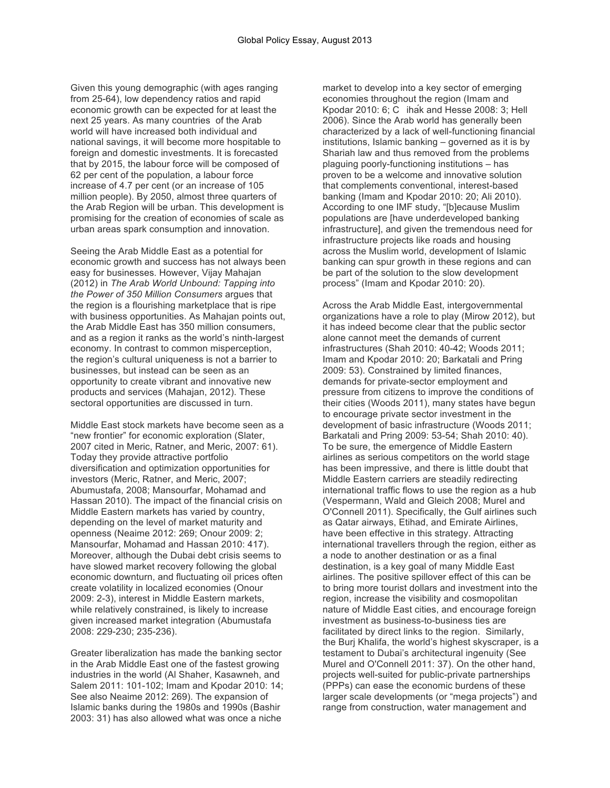Given this young demographic (with ages ranging from 25-64), low dependency ratios and rapid economic growth can be expected for at least the next 25 years. As many countries of the Arab world will have increased both individual and national savings, it will become more hospitable to foreign and domestic investments. It is forecasted that by 2015, the labour force will be composed of 62 per cent of the population, a labour force increase of 4.7 per cent (or an increase of 105 million people). By 2050, almost three quarters of the Arab Region will be urban. This development is promising for the creation of economies of scale as urban areas spark consumption and innovation.

Seeing the Arab Middle East as a potential for economic growth and success has not always been easy for businesses. However, Vijay Mahajan (2012) in *The Arab World Unbound: Tapping into the Power of 350 Million Consumers* argues that the region is a flourishing marketplace that is ripe with business opportunities. As Mahajan points out, the Arab Middle East has 350 million consumers, and as a region it ranks as the world's ninth-largest economy. In contrast to common misperception, the region's cultural uniqueness is not a barrier to businesses, but instead can be seen as an opportunity to create vibrant and innovative new products and services (Mahajan, 2012). These sectoral opportunities are discussed in turn.

Middle East stock markets have become seen as a "new frontier" for economic exploration (Slater, 2007 cited in Meric, Ratner, and Meric, 2007: 61). Today they provide attractive portfolio diversification and optimization opportunities for investors (Meric, Ratner, and Meric, 2007; Abumustafa, 2008; Mansourfar, Mohamad and Hassan 2010). The impact of the financial crisis on Middle Eastern markets has varied by country, depending on the level of market maturity and openness (Neaime 2012: 269; Onour 2009: 2; Mansourfar, Mohamad and Hassan 2010: 417). Moreover, although the Dubai debt crisis seems to have slowed market recovery following the global economic downturn, and fluctuating oil prices often create volatility in localized economies (Onour 2009: 2-3), interest in Middle Eastern markets, while relatively constrained, is likely to increase given increased market integration (Abumustafa 2008: 229-230; 235-236).

Greater liberalization has made the banking sector in the Arab Middle East one of the fastest growing industries in the world (Al Shaher, Kasawneh, and Salem 2011: 101-102; Imam and Kpodar 2010: 14; See also Neaime 2012: 269). The expansion of Islamic banks during the 1980s and 1990s (Bashir 2003: 31) has also allowed what was once a niche

market to develop into a key sector of emerging economies throughout the region (Imam and Kpodar 2010: 6; C ihak and Hesse 2008: 3; Hell 2006). Since the Arab world has generally been characterized by a lack of well-functioning financial institutions, Islamic banking – governed as it is by Shariah law and thus removed from the problems plaguing poorly-functioning institutions – has proven to be a welcome and innovative solution that complements conventional, interest-based banking (Imam and Kpodar 2010: 20; Ali 2010). According to one IMF study, "[b]ecause Muslim populations are [have underdeveloped banking infrastructure], and given the tremendous need for infrastructure projects like roads and housing across the Muslim world, development of Islamic banking can spur growth in these regions and can be part of the solution to the slow development process" (Imam and Kpodar 2010: 20).

Across the Arab Middle East, intergovernmental organizations have a role to play (Mirow 2012), but it has indeed become clear that the public sector alone cannot meet the demands of current infrastructures (Shah 2010: 40-42; Woods 2011; Imam and Kpodar 2010: 20; Barkatali and Pring 2009: 53). Constrained by limited finances, demands for private-sector employment and pressure from citizens to improve the conditions of their cities (Woods 2011), many states have begun to encourage private sector investment in the development of basic infrastructure (Woods 2011; Barkatali and Pring 2009: 53-54; Shah 2010: 40). To be sure, the emergence of Middle Eastern airlines as serious competitors on the world stage has been impressive, and there is little doubt that Middle Eastern carriers are steadily redirecting international traffic flows to use the region as a hub (Vespermann, Wald and Gleich 2008; Murel and O'Connell 2011). Specifically, the Gulf airlines such as Qatar airways, Etihad, and Emirate Airlines, have been effective in this strategy. Attracting international travellers through the region, either as a node to another destination or as a final destination, is a key goal of many Middle East airlines. The positive spillover effect of this can be to bring more tourist dollars and investment into the region, increase the visibility and cosmopolitan nature of Middle East cities, and encourage foreign investment as business-to-business ties are facilitated by direct links to the region. Similarly, the Burj Khalifa, the world's highest skyscraper, is a testament to Dubai's architectural ingenuity (See Murel and O'Connell 2011: 37). On the other hand, projects well-suited for public-private partnerships (PPPs) can ease the economic burdens of these larger scale developments (or "mega projects") and range from construction, water management and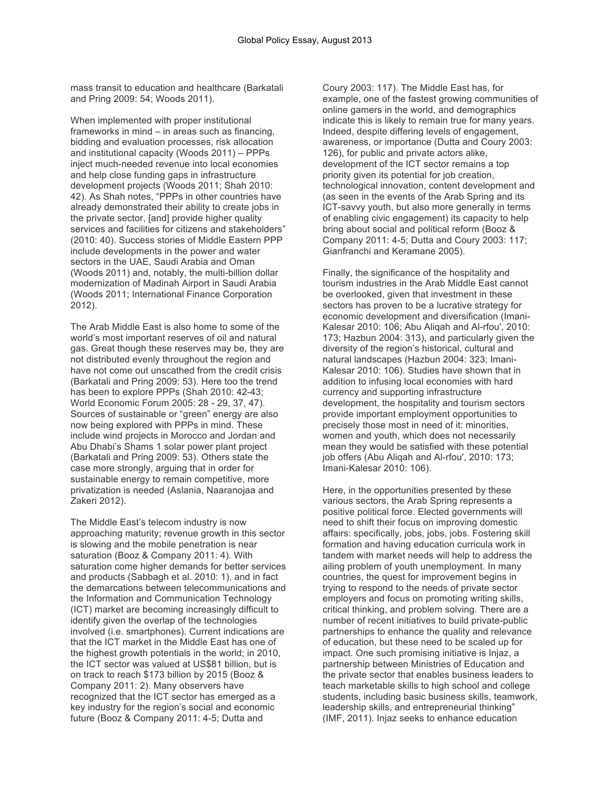mass transit to education and healthcare (Barkatali and Pring 2009: 54; Woods 2011).

When implemented with proper institutional frameworks in mind – in areas such as financing, bidding and evaluation processes, risk allocation and institutional capacity (Woods 2011) – PPPs inject much-needed revenue into local economies and help close funding gaps in infrastructure development projects (Woods 2011; Shah 2010: 42). As Shah notes, "PPPs in other countries have already demonstrated their ability to create jobs in the private sector, [and] provide higher quality services and facilities for citizens and stakeholders" (2010: 40). Success stories of Middle Eastern PPP include developments in the power and water sectors in the UAE, Saudi Arabia and Oman (Woods 2011) and, notably, the multi-billion dollar modernization of Madinah Airport in Saudi Arabia (Woods 2011; International Finance Corporation 2012).

The Arab Middle East is also home to some of the world's most important reserves of oil and natural gas. Great though these reserves may be, they are not distributed evenly throughout the region and have not come out unscathed from the credit crisis (Barkatali and Pring 2009: 53). Here too the trend has been to explore PPPs (Shah 2010: 42-43; World Economic Forum 2005: 28 - 29, 37, 47). Sources of sustainable or "green" energy are also now being explored with PPPs in mind. These include wind projects in Morocco and Jordan and Abu Dhabi's Shams 1 solar power plant project (Barkatali and Pring 2009: 53). Others state the case more strongly, arguing that in order for sustainable energy to remain competitive, more privatization is needed (Aslania, Naaranojaa and Zakeri 2012).

The Middle East's telecom industry is now approaching maturity; revenue growth in this sector is slowing and the mobile penetration is near saturation (Booz & Company 2011: 4). With saturation come higher demands for better services and products (Sabbagh et al. 2010: 1), and in fact the demarcations between telecommunications and the Information and Communication Technology (ICT) market are becoming increasingly difficult to identify given the overlap of the technologies involved (i.e. smartphones). Current indications are that the ICT market in the Middle East has one of the highest growth potentials in the world; in 2010, the ICT sector was valued at US\$81 billion, but is on track to reach \$173 billion by 2015 (Booz & Company 2011: 2). Many observers have recognized that the ICT sector has emerged as a key industry for the region's social and economic future (Booz & Company 2011: 4-5; Dutta and

Coury 2003: 117). The Middle East has, for example, one of the fastest growing communities of online gamers in the world, and demographics indicate this is likely to remain true for many years. Indeed, despite differing levels of engagement, awareness, or importance (Dutta and Coury 2003: 126), for public and private actors alike, development of the ICT sector remains a top priority given its potential for job creation, technological innovation, content development and (as seen in the events of the Arab Spring and its ICT-savvy youth, but also more generally in terms of enabling civic engagement) its capacity to help bring about social and political reform (Booz & Company 2011: 4-5; Dutta and Coury 2003: 117; Gianfranchi and Keramane 2005).

Finally, the significance of the hospitality and tourism industries in the Arab Middle East cannot be overlooked, given that investment in these sectors has proven to be a lucrative strategy for economic development and diversification (Imani-Kalesar 2010: 106; Abu Aliqah and Al-rfou', 2010: 173; Hazbun 2004: 313), and particularly given the diversity of the region's historical, cultural and natural landscapes (Hazbun 2004: 323; Imani-Kalesar 2010: 106). Studies have shown that in addition to infusing local economies with hard currency and supporting infrastructure development, the hospitality and tourism sectors provide important employment opportunities to precisely those most in need of it: minorities, women and youth, which does not necessarily mean they would be satisfied with these potential job offers (Abu Aliqah and Al-rfou', 2010: 173; Imani-Kalesar 2010: 106).

Here, in the opportunities presented by these various sectors, the Arab Spring represents a positive political force. Elected governments will need to shift their focus on improving domestic affairs: specifically, jobs, jobs, jobs. Fostering skill formation and having education curricula work in tandem with market needs will help to address the ailing problem of youth unemployment. In many countries, the quest for improvement begins in trying to respond to the needs of private sector employers and focus on promoting writing skills, critical thinking, and problem solving. There are a number of recent initiatives to build private-public partnerships to enhance the quality and relevance of education, but these need to be scaled up for impact. One such promising initiative is Injaz, a partnership between Ministries of Education and the private sector that enables business leaders to teach marketable skills to high school and college students, including basic business skills, teamwork, leadership skills, and entrepreneurial thinking" (IMF, 2011). Injaz seeks to enhance education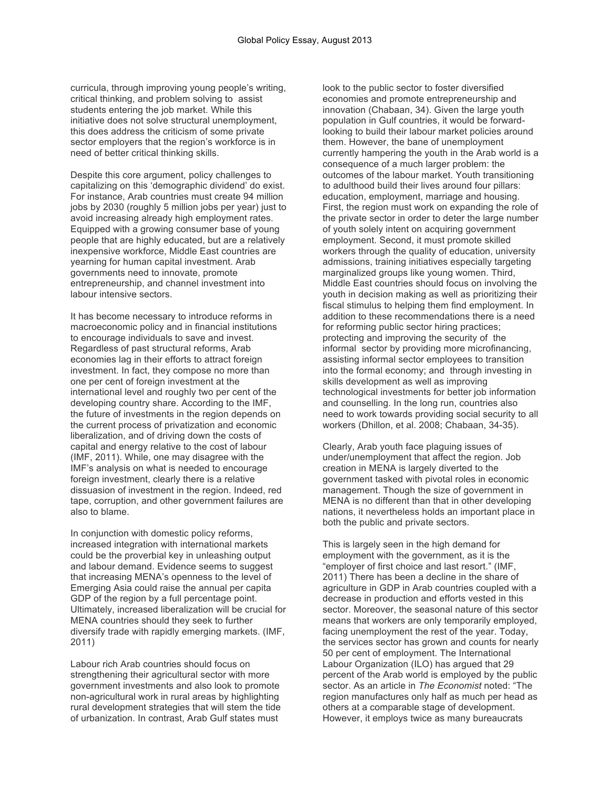curricula, through improving young people's writing, critical thinking, and problem solving to assist students entering the job market. While this initiative does not solve structural unemployment, this does address the criticism of some private sector employers that the region's workforce is in need of better critical thinking skills.

Despite this core argument, policy challenges to capitalizing on this 'demographic dividend' do exist. For instance, Arab countries must create 94 million jobs by 2030 (roughly 5 million jobs per year) just to avoid increasing already high employment rates. Equipped with a growing consumer base of young people that are highly educated, but are a relatively inexpensive workforce, Middle East countries are yearning for human capital investment. Arab governments need to innovate, promote entrepreneurship, and channel investment into labour intensive sectors.

It has become necessary to introduce reforms in macroeconomic policy and in financial institutions to encourage individuals to save and invest. Regardless of past structural reforms, Arab economies lag in their efforts to attract foreign investment. In fact, they compose no more than one per cent of foreign investment at the international level and roughly two per cent of the developing country share. According to the IMF, the future of investments in the region depends on the current process of privatization and economic liberalization, and of driving down the costs of capital and energy relative to the cost of labour (IMF, 2011). While, one may disagree with the IMF's analysis on what is needed to encourage foreign investment, clearly there is a relative dissuasion of investment in the region. Indeed, red tape, corruption, and other government failures are also to blame.

In conjunction with domestic policy reforms, increased integration with international markets could be the proverbial key in unleashing output and labour demand. Evidence seems to suggest that increasing MENA's openness to the level of Emerging Asia could raise the annual per capita GDP of the region by a full percentage point. Ultimately, increased liberalization will be crucial for MENA countries should they seek to further diversify trade with rapidly emerging markets. (IMF, 2011)

Labour rich Arab countries should focus on strengthening their agricultural sector with more government investments and also look to promote non-agricultural work in rural areas by highlighting rural development strategies that will stem the tide of urbanization. In contrast, Arab Gulf states must

look to the public sector to foster diversified economies and promote entrepreneurship and innovation (Chabaan, 34). Given the large youth population in Gulf countries, it would be forwardlooking to build their labour market policies around them. However, the bane of unemployment currently hampering the youth in the Arab world is a consequence of a much larger problem: the outcomes of the labour market. Youth transitioning to adulthood build their lives around four pillars: education, employment, marriage and housing. First, the region must work on expanding the role of the private sector in order to deter the large number of youth solely intent on acquiring government employment. Second, it must promote skilled workers through the quality of education, university admissions, training initiatives especially targeting marginalized groups like young women. Third, Middle East countries should focus on involving the youth in decision making as well as prioritizing their fiscal stimulus to helping them find employment. In addition to these recommendations there is a need for reforming public sector hiring practices; protecting and improving the security of the informal sector by providing more microfinancing, assisting informal sector employees to transition into the formal economy; and through investing in skills development as well as improving technological investments for better job information and counselling. In the long run, countries also need to work towards providing social security to all workers (Dhillon, et al. 2008; Chabaan, 34-35).

Clearly, Arab youth face plaguing issues of under/unemployment that affect the region. Job creation in MENA is largely diverted to the government tasked with pivotal roles in economic management. Though the size of government in MENA is no different than that in other developing nations, it nevertheless holds an important place in both the public and private sectors.

This is largely seen in the high demand for employment with the government, as it is the "employer of first choice and last resort." (IMF, 2011) There has been a decline in the share of agriculture in GDP in Arab countries coupled with a decrease in production and efforts vested in this sector. Moreover, the seasonal nature of this sector means that workers are only temporarily employed, facing unemployment the rest of the year. Today, the services sector has grown and counts for nearly 50 per cent of employment. The International Labour Organization (ILO) has argued that 29 percent of the Arab world is employed by the public sector. As an article in *The Economist* noted: "The region manufactures only half as much per head as others at a comparable stage of development. However, it employs twice as many bureaucrats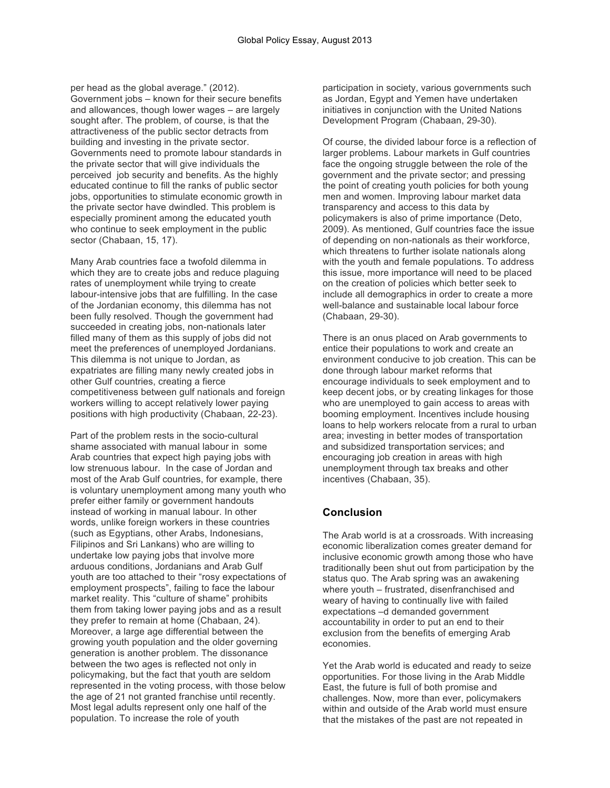per head as the global average." (2012). Government jobs – known for their secure benefits and allowances, though lower wages – are largely sought after. The problem, of course, is that the attractiveness of the public sector detracts from building and investing in the private sector. Governments need to promote labour standards in the private sector that will give individuals the perceived job security and benefits. As the highly educated continue to fill the ranks of public sector jobs, opportunities to stimulate economic growth in the private sector have dwindled. This problem is especially prominent among the educated youth who continue to seek employment in the public sector (Chabaan, 15, 17).

Many Arab countries face a twofold dilemma in which they are to create jobs and reduce plaguing rates of unemployment while trying to create labour-intensive jobs that are fulfilling. In the case of the Jordanian economy, this dilemma has not been fully resolved. Though the government had succeeded in creating jobs, non-nationals later filled many of them as this supply of jobs did not meet the preferences of unemployed Jordanians. This dilemma is not unique to Jordan, as expatriates are filling many newly created jobs in other Gulf countries, creating a fierce competitiveness between gulf nationals and foreign workers willing to accept relatively lower paying positions with high productivity (Chabaan, 22-23).

Part of the problem rests in the socio-cultural shame associated with manual labour in some Arab countries that expect high paying jobs with low strenuous labour. In the case of Jordan and most of the Arab Gulf countries, for example, there is voluntary unemployment among many youth who prefer either family or government handouts instead of working in manual labour. In other words, unlike foreign workers in these countries (such as Egyptians, other Arabs, Indonesians, Filipinos and Sri Lankans) who are willing to undertake low paying jobs that involve more arduous conditions, Jordanians and Arab Gulf youth are too attached to their "rosy expectations of employment prospects", failing to face the labour market reality. This "culture of shame" prohibits them from taking lower paying jobs and as a result they prefer to remain at home (Chabaan, 24). Moreover, a large age differential between the growing youth population and the older governing generation is another problem. The dissonance between the two ages is reflected not only in policymaking, but the fact that youth are seldom represented in the voting process, with those below the age of 21 not granted franchise until recently. Most legal adults represent only one half of the population. To increase the role of youth

participation in society, various governments such as Jordan, Egypt and Yemen have undertaken initiatives in conjunction with the United Nations Development Program (Chabaan, 29-30).

Of course, the divided labour force is a reflection of larger problems. Labour markets in Gulf countries face the ongoing struggle between the role of the government and the private sector; and pressing the point of creating youth policies for both young men and women. Improving labour market data transparency and access to this data by policymakers is also of prime importance (Deto, 2009). As mentioned, Gulf countries face the issue of depending on non-nationals as their workforce, which threatens to further isolate nationals along with the youth and female populations. To address this issue, more importance will need to be placed on the creation of policies which better seek to include all demographics in order to create a more well-balance and sustainable local labour force (Chabaan, 29-30).

There is an onus placed on Arab governments to entice their populations to work and create an environment conducive to job creation. This can be done through labour market reforms that encourage individuals to seek employment and to keep decent jobs, or by creating linkages for those who are unemployed to gain access to areas with booming employment. Incentives include housing loans to help workers relocate from a rural to urban area; investing in better modes of transportation and subsidized transportation services; and encouraging job creation in areas with high unemployment through tax breaks and other incentives (Chabaan, 35).

## **Conclusion**

The Arab world is at a crossroads. With increasing economic liberalization comes greater demand for inclusive economic growth among those who have traditionally been shut out from participation by the status quo. The Arab spring was an awakening where youth – frustrated, disenfranchised and weary of having to continually live with failed expectations –d demanded government accountability in order to put an end to their exclusion from the benefits of emerging Arab economies.

Yet the Arab world is educated and ready to seize opportunities. For those living in the Arab Middle East, the future is full of both promise and challenges. Now, more than ever, policymakers within and outside of the Arab world must ensure that the mistakes of the past are not repeated in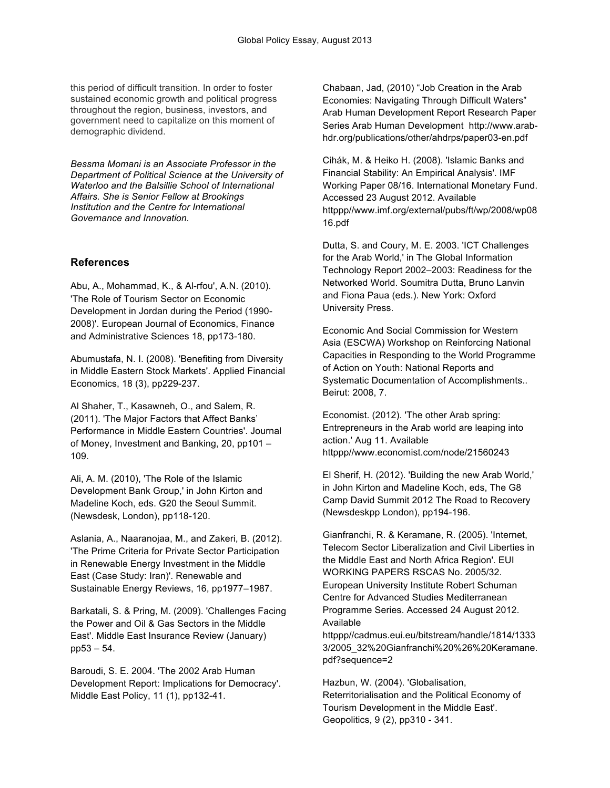this period of difficult transition. In order to foster sustained economic growth and political progress throughout the region, business, investors, and government need to capitalize on this moment of demographic dividend.

*Bessma Momani is an Associate Professor in the Department of Political Science at the University of Waterloo and the Balsillie School of International Affairs. She is Senior Fellow at Brookings Institution and the Centre for International Governance and Innovation.*

### **References**

Abu, A., Mohammad, K., & Al-rfou', A.N. (2010). 'The Role of Tourism Sector on Economic Development in Jordan during the Period (1990- 2008)'. European Journal of Economics, Finance and Administrative Sciences 18, pp173-180.

Abumustafa, N. I. (2008). 'Benefiting from Diversity in Middle Eastern Stock Markets'. Applied Financial Economics, 18 (3), pp229-237.

Al Shaher, T., Kasawneh, O., and Salem, R. (2011). 'The Major Factors that Affect Banks' Performance in Middle Eastern Countries'. Journal of Money, Investment and Banking, 20, pp101 – 109.

Ali, A. M. (2010), 'The Role of the Islamic Development Bank Group,' in John Kirton and Madeline Koch, eds. G20 the Seoul Summit. (Newsdesk, London), pp118-120.

Aslania, A., Naaranojaa, M., and Zakeri, B. (2012). 'The Prime Criteria for Private Sector Participation in Renewable Energy Investment in the Middle East (Case Study: Iran)'. Renewable and Sustainable Energy Reviews, 16, pp1977–1987.

Barkatali, S. & Pring, M. (2009). 'Challenges Facing the Power and Oil & Gas Sectors in the Middle East'. Middle East Insurance Review (January) pp53 – 54.

Baroudi, S. E. 2004. 'The 2002 Arab Human Development Report: Implications for Democracy'. Middle East Policy, 11 (1), pp132-41.

Chabaan, Jad, (2010) "Job Creation in the Arab Economies: Navigating Through Difficult Waters" Arab Human Development Report Research Paper Series Arab Human Development http://www.arabhdr.org/publications/other/ahdrps/paper03-en.pdf

Cihák, M. & Heiko H. (2008). 'Islamic Banks and Financial Stability: An Empirical Analysis'. IMF Working Paper 08/16. International Monetary Fund. Accessed 23 August 2012. Available httppp//www.imf.org/external/pubs/ft/wp/2008/wp08 16.pdf

Dutta, S. and Coury, M. E. 2003. 'ICT Challenges for the Arab World,' in The Global Information Technology Report 2002–2003: Readiness for the Networked World. Soumitra Dutta, Bruno Lanvin and Fiona Paua (eds.). New York: Oxford University Press.

Economic And Social Commission for Western Asia (ESCWA) Workshop on Reinforcing National Capacities in Responding to the World Programme of Action on Youth: National Reports and Systematic Documentation of Accomplishments.. Beirut: 2008, 7.

Economist. (2012). 'The other Arab spring: Entrepreneurs in the Arab world are leaping into action.' Aug 11. Available httppp//www.economist.com/node/21560243

El Sherif, H. (2012). 'Building the new Arab World,' in John Kirton and Madeline Koch, eds, The G8 Camp David Summit 2012 The Road to Recovery (Newsdeskpp London), pp194-196.

Gianfranchi, R. & Keramane, R. (2005). 'Internet, Telecom Sector Liberalization and Civil Liberties in the Middle East and North Africa Region'. EUI WORKING PAPERS RSCAS No. 2005/32. European University Institute Robert Schuman Centre for Advanced Studies Mediterranean Programme Series. Accessed 24 August 2012. Available

httppp//cadmus.eui.eu/bitstream/handle/1814/1333 3/2005\_32%20Gianfranchi%20%26%20Keramane. pdf?sequence=2

Hazbun, W. (2004). 'Globalisation, Reterritorialisation and the Political Economy of Tourism Development in the Middle East'. Geopolitics, 9 (2), pp310 - 341.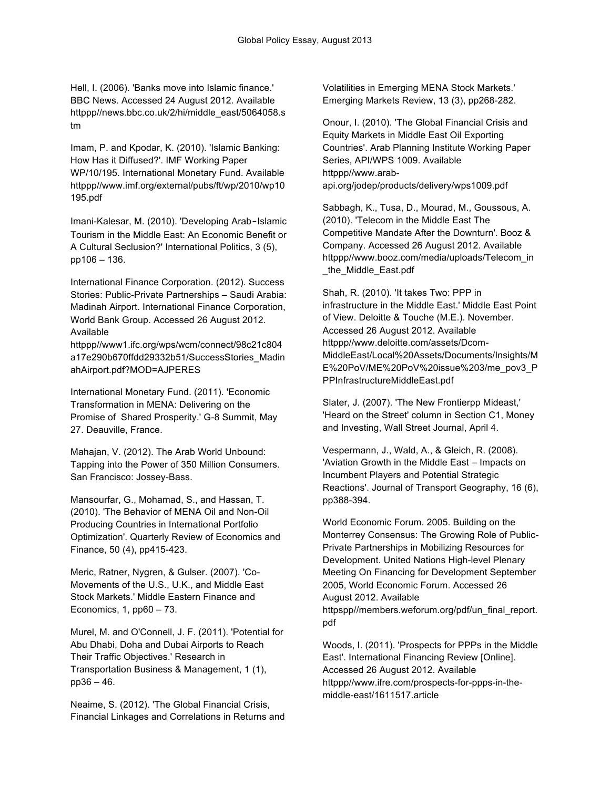Hell, I. (2006). 'Banks move into Islamic finance.' BBC News. Accessed 24 August 2012. Available httppp//news.bbc.co.uk/2/hi/middle\_east/5064058.s tm

Imam, P. and Kpodar, K. (2010). 'Islamic Banking: How Has it Diffused?'. IMF Working Paper WP/10/195. International Monetary Fund. Available httppp//www.imf.org/external/pubs/ft/wp/2010/wp10 195.pdf

Imani-Kalesar, M. (2010). 'Developing Arab-Islamic Tourism in the Middle East: An Economic Benefit or A Cultural Seclusion?' International Politics, 3 (5), pp106 – 136.

International Finance Corporation. (2012). Success Stories: Public-Private Partnerships – Saudi Arabia: Madinah Airport. International Finance Corporation, World Bank Group. Accessed 26 August 2012. Available

httppp//www1.ifc.org/wps/wcm/connect/98c21c804 a17e290b670ffdd29332b51/SuccessStories\_Madin ahAirport.pdf?MOD=AJPERES

International Monetary Fund. (2011). 'Economic Transformation in MENA: Delivering on the Promise of Shared Prosperity.' G-8 Summit, May 27. Deauville, France.

Mahajan, V. (2012). The Arab World Unbound: Tapping into the Power of 350 Million Consumers. San Francisco: Jossey-Bass.

Mansourfar, G., Mohamad, S., and Hassan, T. (2010). 'The Behavior of MENA Oil and Non-Oil Producing Countries in International Portfolio Optimization'. Quarterly Review of Economics and Finance, 50 (4), pp415-423.

Meric, Ratner, Nygren, & Gulser. (2007). 'Co-Movements of the U.S., U.K., and Middle East Stock Markets.' Middle Eastern Finance and Economics, 1,  $pp60 - 73$ .

Murel, M. and O'Connell, J. F. (2011). 'Potential for Abu Dhabi, Doha and Dubai Airports to Reach Their Traffic Objectives.' Research in Transportation Business & Management, 1 (1), pp36 – 46.

Neaime, S. (2012). 'The Global Financial Crisis, Financial Linkages and Correlations in Returns and Volatilities in Emerging MENA Stock Markets.' Emerging Markets Review, 13 (3), pp268-282.

Onour, I. (2010). 'The Global Financial Crisis and Equity Markets in Middle East Oil Exporting Countries'. Arab Planning Institute Working Paper Series, API/WPS 1009. Available httppp//www.arabapi.org/jodep/products/delivery/wps1009.pdf

Sabbagh, K., Tusa, D., Mourad, M., Goussous, A. (2010). 'Telecom in the Middle East The Competitive Mandate After the Downturn'. Booz & Company. Accessed 26 August 2012. Available httppp//www.booz.com/media/uploads/Telecom\_in \_the\_Middle\_East.pdf

Shah, R. (2010). 'It takes Two: PPP in infrastructure in the Middle East.' Middle East Point of View. Deloitte & Touche (M.E.). November. Accessed 26 August 2012. Available httppp//www.deloitte.com/assets/Dcom-MiddleEast/Local%20Assets/Documents/Insights/M E%20PoV/ME%20PoV%20issue%203/me\_pov3\_P PPInfrastructureMiddleEast.pdf

Slater, J. (2007). 'The New Frontierpp Mideast,' 'Heard on the Street' column in Section C1, Money and Investing, Wall Street Journal, April 4.

Vespermann, J., Wald, A., & Gleich, R. (2008). 'Aviation Growth in the Middle East – Impacts on Incumbent Players and Potential Strategic Reactions'. Journal of Transport Geography, 16 (6), pp388-394.

World Economic Forum. 2005. Building on the Monterrey Consensus: The Growing Role of Public-Private Partnerships in Mobilizing Resources for Development. United Nations High-level Plenary Meeting On Financing for Development September 2005, World Economic Forum. Accessed 26 August 2012. Available httpspp//members.weforum.org/pdf/un\_final\_report. pdf

Woods, I. (2011). 'Prospects for PPPs in the Middle East'. International Financing Review [Online]. Accessed 26 August 2012. Available httppp//www.ifre.com/prospects-for-ppps-in-themiddle-east/1611517.article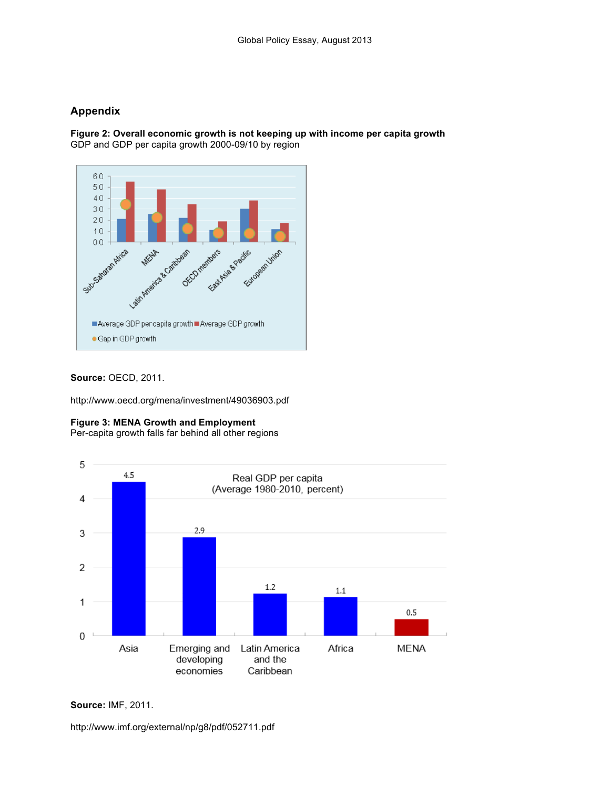# **Appendix**

**Figure 2: Overall economic growth is not keeping up with income per capita growth** GDP and GDP per capita growth 2000-09/10 by region



**Source:** OECD, 2011.

http://www.oecd.org/mena/investment/49036903.pdf

## **Figure 3: MENA Growth and Employment**

Per-capita growth falls far behind all other regions



**Source:** IMF, 2011.

http://www.imf.org/external/np/g8/pdf/052711.pdf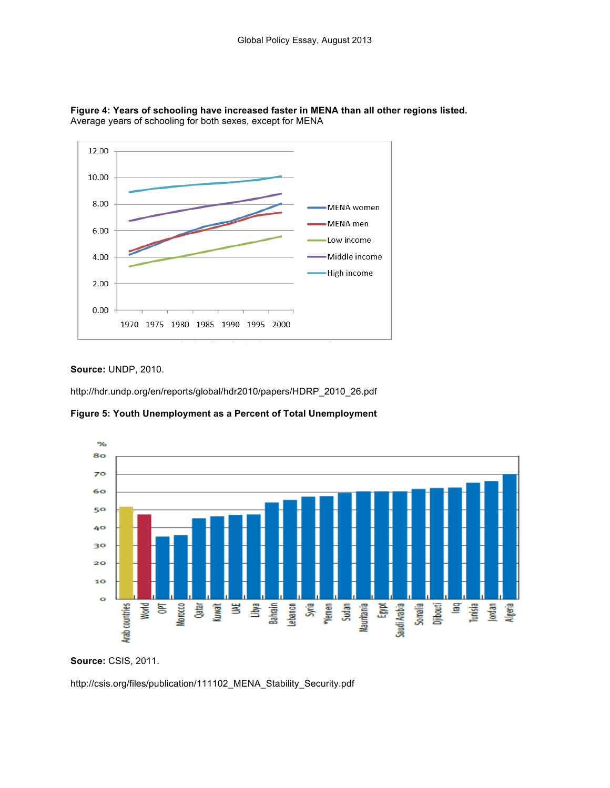

**Figure 4: Years of schooling have increased faster in MENA than all other regions listed.**  Average years of schooling for both sexes, except for MENA

#### **Source:** UNDP, 2010.

http://hdr.undp.org/en/reports/global/hdr2010/papers/HDRP\_2010\_26.pdf

**Figure 5: Youth Unemployment as a Percent of Total Unemployment** 



**Source:** CSIS, 2011.

http://csis.org/files/publication/111102\_MENA\_Stability\_Security.pdf